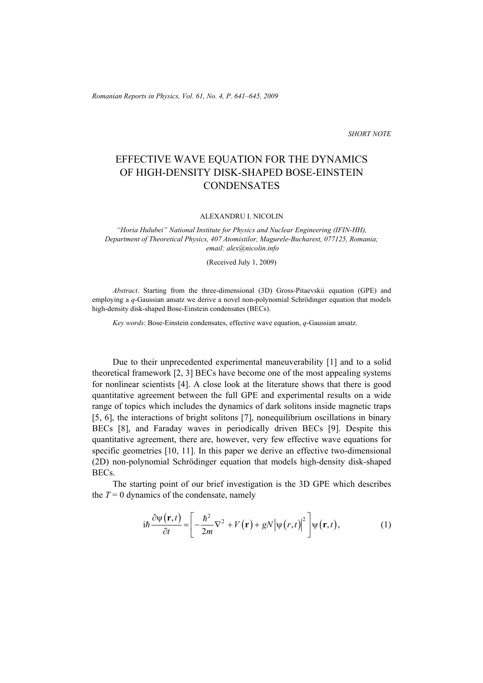*Romanian Reports in Physics, Vol. 61, No. 4, P. 641–645, 2009*

*SHORT NOTE* 

## EFFECTIVE WAVE EQUATION FOR THE DYNAMICS OF HIGH-DENSITY DISK-SHAPED BOSE-EINSTEIN **CONDENSATES**

ALEXANDRU I. NICOLIN

*"Horia Hulubei" National Institute for Physics and Nuclear Engineering (IFIN-HH), Department of Theoretical Physics, 407 Atomistilor, Magurele-Bucharest, 077125, Romania; email: alex@nicolin.info* 

(Received July 1, 2009)

*Abstract*. Starting from the three-dimensional (3D) Gross-Pitaevskii equation (GPE) and employing a *q*-Gaussian ansatz we derive a novel non-polynomial Schrödinger equation that models high-density disk-shaped Bose-Einstein condensates (BECs).

*Key words*: Bose-Einstein condensates, effective wave equation, *q*-Gaussian ansatz.

Due to their unprecedented experimental maneuverability [1] and to a solid theoretical framework [2, 3] BECs have become one of the most appealing systems for nonlinear scientists [4]. A close look at the literature shows that there is good quantitative agreement between the full GPE and experimental results on a wide range of topics which includes the dynamics of dark solitons inside magnetic traps [5, 6], the interactions of bright solitons [7], nonequilibrium oscillations in binary BECs [8], and Faraday waves in periodically driven BECs [9]. Despite this quantitative agreement, there are, however, very few effective wave equations for specific geometries [10, 11]. In this paper we derive an effective two-dimensional (2D) non-polynomial Schrödinger equation that models high-density disk-shaped BECs.

The starting point of our brief investigation is the 3D GPE which describes the  $T = 0$  dynamics of the condensate, namely

$$
i\hbar \frac{\partial \psi(\mathbf{r},t)}{\partial t} = \left[ -\frac{\hbar^2}{2m} \nabla^2 + V(\mathbf{r}) + gN |\psi(r,t)|^2 \right] \psi(\mathbf{r},t), \tag{1}
$$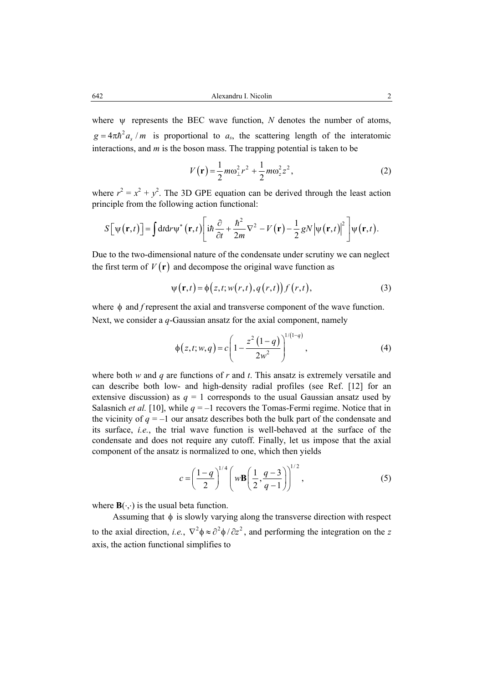where ψ represents the BEC wave function, *N* denotes the number of atoms,  $g = 4\pi\hbar^2 a_s / m$  is proportional to  $a_s$ , the scattering length of the interatomic interactions, and *m* is the boson mass. The trapping potential is taken to be

$$
V(\mathbf{r}) = \frac{1}{2} m \omega_{\perp}^2 r^2 + \frac{1}{2} m \omega_z^2 z^2, \qquad (2)
$$

where  $r^2 = x^2 + y^2$ . The 3D GPE equation can be derived through the least action principle from the following action functional:

$$
S[\psi(\mathbf{r},t)] = \int dt dr \psi^* (\mathbf{r},t) \left[ i\hbar \frac{\partial}{\partial t} + \frac{\hbar^2}{2m} \nabla^2 - V(\mathbf{r}) - \frac{1}{2} g N |\psi(\mathbf{r},t)|^2 \right] \psi(\mathbf{r},t).
$$

Due to the two-dimensional nature of the condensate under scrutiny we can neglect the first term of  $V(\mathbf{r})$  and decompose the original wave function as

$$
\psi(\mathbf{r},t) = \phi(z,t; w(r,t), q(r,t)) f(r,t),
$$
\n(3)

where φ and *f* represent the axial and transverse component of the wave function. Next, we consider a *q*-Gaussian ansatz for the axial component, namely

$$
\phi(z, t; w, q) = c \left( 1 - \frac{z^2 (1 - q)}{2 w^2} \right)^{1/(1 - q)},
$$
\n(4)

where both *w* and *q* are functions of *r* and *t*. This ansatz is extremely versatile and can describe both low- and high-density radial profiles (see Ref. [12] for an extensive discussion) as  $q = 1$  corresponds to the usual Gaussian ansatz used by Salasnich *et al.* [10], while  $q = -1$  recovers the Tomas-Fermi regime. Notice that in the vicinity of  $q = -1$  our ansatz describes both the bulk part of the condensate and its surface, *i.e.*, the trial wave function is well-behaved at the surface of the condensate and does not require any cutoff. Finally, let us impose that the axial component of the ansatz is normalized to one, which then yields

$$
c = \left(\frac{1-q}{2}\right)^{1/4} \left(w\mathbf{B}\left(\frac{1}{2}, \frac{q-3}{q-1}\right)\right)^{1/2},\tag{5}
$$

where  $\mathbf{B}(\cdot,\cdot)$  is the usual beta function.

Assuming that  $\phi$  is slowly varying along the transverse direction with respect to the axial direction, *i.e.*,  $\nabla^2 \phi \approx \partial^2 \phi / \partial z^2$ , and performing the integration on the *z* axis, the action functional simplifies to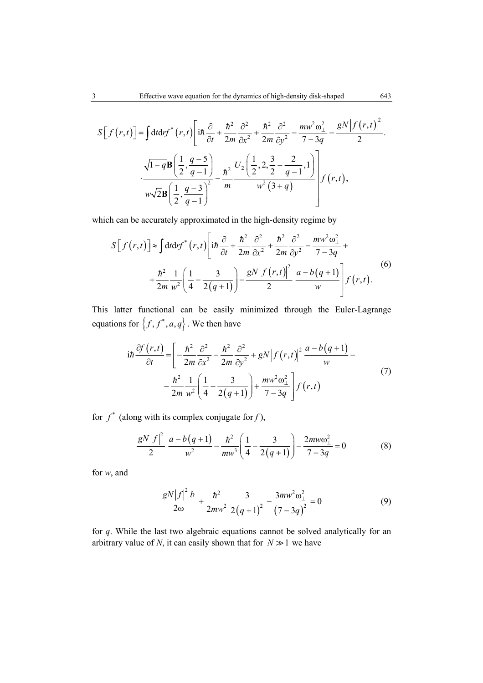$$
S[f(r,t)] = \int dt dr f^{*}(r,t) \left[ i\hbar \frac{\partial}{\partial t} + \frac{\hbar^{2}}{2m} \frac{\partial^{2}}{\partial x^{2}} + \frac{\hbar^{2}}{2m} \frac{\partial^{2}}{\partial y^{2}} - \frac{m w^{2} \omega_{\perp}^{2}}{7 - 3q} - \frac{gN |f(r,t)|^{2}}{2} \right] dr
$$

$$
\cdot \frac{\sqrt{1 - q} \mathbf{B} \left( \frac{1}{2}, \frac{q - 5}{q - 1} \right)}{w \sqrt{2} \mathbf{B} \left( \frac{1}{2}, \frac{q - 3}{q - 1} \right)^{2}} - \frac{\hbar^{2}}{m} \frac{U_{2} \left( \frac{1}{2}, 2, \frac{3}{2} - \frac{2}{q - 1}, 1 \right)}{w^{2} (3 + q)} \Bigg] f(r, t),
$$

which can be accurately approximated in the high-density regime by

$$
S[f(r,t)] \approx \int dt dr f^{*}(r,t) \left[ i\hbar \frac{\partial}{\partial t} + \frac{\hbar^2}{2m} \frac{\partial^2}{\partial x^2} + \frac{\hbar^2}{2m} \frac{\partial^2}{\partial y^2} - \frac{m w^2 \omega_{\perp}^2}{7 - 3q} + \frac{\hbar^2}{2m} \frac{1}{w^2} \left( \frac{1}{4} - \frac{3}{2(q+1)} \right) - \frac{g N \left| f(r,t) \right|^2}{2} \frac{a - b(q+1)}{w} \right] f(r,t).
$$
\n(6)

This latter functional can be easily minimized through the Euler-Lagrange equations for  $\{f, f^*, a, q\}$ . We then have

$$
i\hbar \frac{\partial f(r,t)}{\partial t} = \left[ -\frac{\hbar^2}{2m} \frac{\partial^2}{\partial x^2} - \frac{\hbar^2}{2m} \frac{\partial^2}{\partial y^2} + gN \left| f(r,t) \right|^2 \frac{a - b(q+1)}{w} - \frac{\hbar^2}{2m} \frac{1}{w^2} \left( \frac{1}{4} - \frac{3}{2(q+1)} \right) + \frac{mw^2\omega_\perp^2}{7 - 3q} \right] f(r,t)
$$
\n(7)

for  $f^*$  (along with its complex conjugate for *f*),

$$
\frac{gN|f|^2}{2} \frac{a-b(q+1)}{w^2} - \frac{\hbar^2}{mw^3} \left(\frac{1}{4} - \frac{3}{2(q+1)}\right) - \frac{2mw\omega_\perp^2}{7-3q} = 0
$$
 (8)

for *w*, and

$$
\frac{gN|f|^2b}{2\omega} + \frac{\hbar^2}{2mw^2}\frac{3}{2(q+1)^2} - \frac{3mw^2\omega_{\perp}^2}{(7-3q)^2} = 0
$$
 (9)

for *q*. While the last two algebraic equations cannot be solved analytically for an arbitrary value of *N*, it can easily shown that for  $N \gg 1$  we have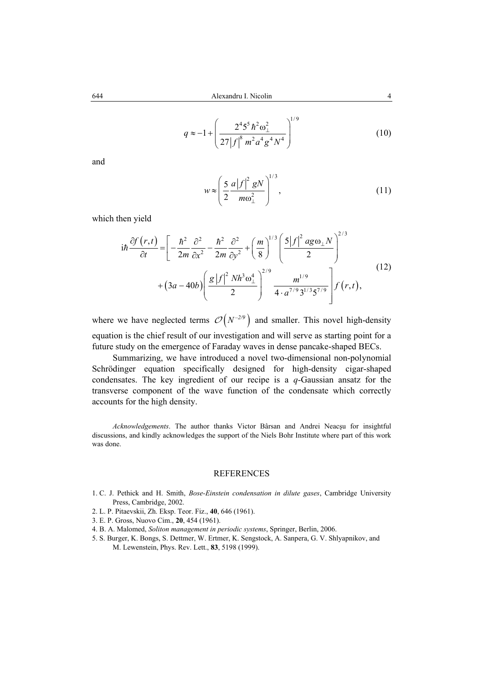$$
q \approx -1 + \left(\frac{2^4 5^5 \hbar^2 \omega_\perp^2}{27 |f|^8 m^2 a^4 g^4 N^4}\right)^{1/9}
$$
 (10)

and

$$
w \approx \left(\frac{5}{2} \frac{a \left|f\right|^2 gN}{m\omega_\perp^2}\right)^{1/3},\tag{11}
$$

which then yield

$$
i\hbar \frac{\partial f(r,t)}{\partial t} = \left[ -\frac{\hbar^2}{2m} \frac{\partial^2}{\partial x^2} - \frac{\hbar^2}{2m} \frac{\partial^2}{\partial y^2} + \left( \frac{m}{8} \right)^{1/3} \left( \frac{5|f|^2 \, ag \omega_\perp N}{2} \right)^{2/3} + (3a - 40b) \left( \frac{g|f|^2 \, Nh^3 \omega_\perp^4}{2} \right)^{2/9} \frac{m^{1/9}}{4 \cdot a^{7/9} 3^{1/3} 5^{7/9}} \right] f(r,t), \tag{12}
$$

where we have neglected terms  $\mathcal{O}(N^{-2/9})$  and smaller. This novel high-density equation is the chief result of our investigation and will serve as starting point for a future study on the emergence of Faraday waves in dense pancake-shaped BECs.

Summarizing, we have introduced a novel two-dimensional non-polynomial Schrödinger equation specifically designed for high-density cigar-shaped condensates. The key ingredient of our recipe is a *q*-Gaussian ansatz for the transverse component of the wave function of the condensate which correctly accounts for the high density.

*Acknowledgements*. The author thanks Victor Bârsan and Andrei Neacşu for insightful discussions, and kindly acknowledges the support of the Niels Bohr Institute where part of this work was done.

## REFERENCES

- 1. C. J. Pethick and H. Smith, *Bose-Einstein condensation in dilute gases*, Cambridge University Press, Cambridge, 2002.
- 2. L. P. Pitaevskii, Zh. Eksp. Teor. Fiz., **40**, 646 (1961).
- 3. E. P. Gross, Nuovo Cim., **20**, 454 (1961).
- 4. B. A. Malomed, *Soliton management in periodic systems*, Springer, Berlin, 2006.
- 5. S. Burger, K. Bongs, S. Dettmer, W. Ertmer, K. Sengstock, A. Sanpera, G. V. Shlyapnikov, and M. Lewenstein, Phys. Rev. Lett., **83**, 5198 (1999).